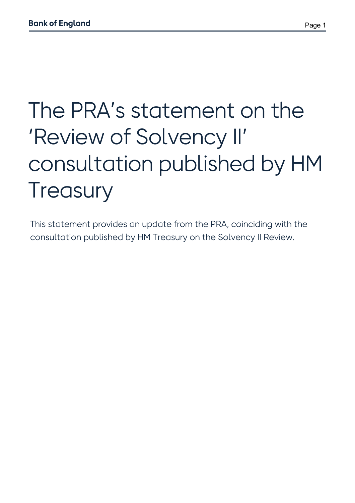# The PRA's statement on the 'Review of Solvency II' consultation published by HM **Treasury**

This statement provides an update from the PRA, coinciding with the consultation published by HM Treasury on the Solvency II Review.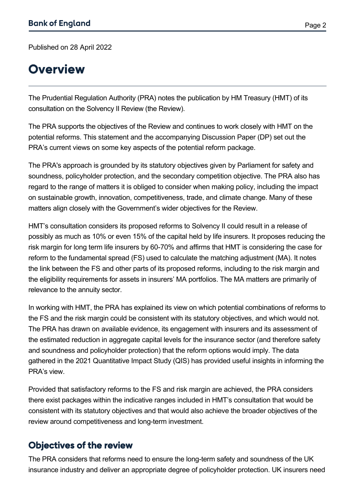Page 2

Published on 28 April 2022

#### **Overview**

The Prudential Regulation Authority (PRA) notes the publication by HM Treasury (HMT) of its consultation on the Solvency II Review (the Review).

The PRA supports the objectives of the Review and continues to work closely with HMT on the potential reforms. This statement and the accompanying Discussion Paper (DP) set out the PRA's current views on some key aspects of the potential reform package.

The PRA's approach is grounded by its statutory objectives given by Parliament for safety and soundness, policyholder protection, and the secondary competition objective. The PRA also has regard to the range of matters it is obliged to consider when making policy, including the impact on sustainable growth, innovation, competitiveness, trade, and climate change. Many of these matters align closely with the Government's wider objectives for the Review.

HMT's consultation considers its proposed reforms to Solvency II could result in a release of possibly as much as 10% or even 15% of the capital held by life insurers. It proposes reducing the risk margin for long term life insurers by 60-70% and affirms that HMT is considering the case for reform to the fundamental spread (FS) used to calculate the matching adjustment (MA). It notes the link between the FS and other parts of its proposed reforms, including to the risk margin and the eligibility requirements for assets in insurers' MA portfolios. The MA matters are primarily of relevance to the annuity sector.

In working with HMT, the PRA has explained its view on which potential combinations of reforms to the FS and the risk margin could be consistent with its statutory objectives, and which would not. The PRA has drawn on available evidence, its engagement with insurers and its assessment of the estimated reduction in aggregate capital levels for the insurance sector (and therefore safety and soundness and policyholder protection) that the reform options would imply. The data gathered in the 2021 Quantitative Impact Study (QIS) has provided useful insights in informing the PRA's view.

Provided that satisfactory reforms to the FS and risk margin are achieved, the PRA considers there exist packages within the indicative ranges included in HMT's consultation that would be consistent with its statutory objectives and that would also achieve the broader objectives of the review around competitiveness and long-term investment.

#### Objectives of the review

The PRA considers that reforms need to ensure the long-term safety and soundness of the UK insurance industry and deliver an appropriate degree of policyholder protection. UK insurers need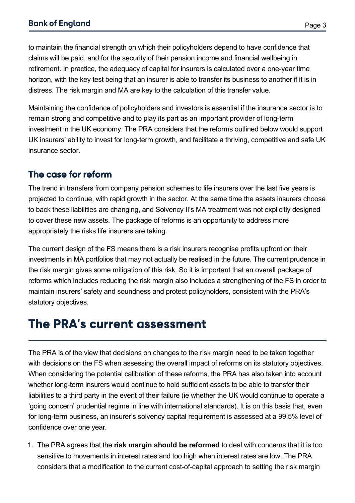to maintain the financial strength on which their policyholders depend to have confidence that claims will be paid, and for the security of their pension income and financial wellbeing in retirement. In practice, the adequacy of capital for insurers is calculated over a one-year time horizon, with the key test being that an insurer is able to transfer its business to another if it is in distress. The risk margin and MA are key to the calculation of this transfer value.

Maintaining the confidence of policyholders and investors is essential if the insurance sector is to remain strong and competitive and to play its part as an important provider of long-term investment in the UK economy. The PRA considers that the reforms outlined below would support UK insurers' ability to invest for long-term growth, and facilitate a thriving, competitive and safe UK insurance sector.

#### The case for reform

The trend in transfers from company pension schemes to life insurers over the last five years is projected to continue, with rapid growth in the sector. At the same time the assets insurers choose to back these liabilities are changing, and Solvency II's MA treatment was not explicitly designed to cover these new assets. The package of reforms is an opportunity to address more appropriately the risks life insurers are taking.

The current design of the FS means there is a risk insurers recognise profits upfront on their investments in MA portfolios that may not actually be realised in the future. The current prudence in the risk margin gives some mitigation of this risk. So it is important that an overall package of reforms which includes reducing the risk margin also includes a strengthening of the FS in order to maintain insurers' safety and soundness and protect policyholders, consistent with the PRA's statutory objectives.

## The PRA's current assessment

The PRA is of the view that decisions on changes to the risk margin need to be taken together with decisions on the FS when assessing the overall impact of reforms on its statutory objectives. When considering the potential calibration of these reforms, the PRA has also taken into account whether long-term insurers would continue to hold sufficient assets to be able to transfer their liabilities to a third party in the event of their failure (ie whether the UK would continue to operate a 'going concern' prudential regime in line with international standards). It is on this basis that, even for long-term business, an insurer's solvency capital requirement is assessed at a 99.5% level of confidence over one year.

1. The PRA agrees that the **risk margin should be reformed** to deal with concerns that it is too sensitive to movements in interest rates and too high when interest rates are low. The PRA considers that a modification to the current cost-of-capital approach to setting the risk margin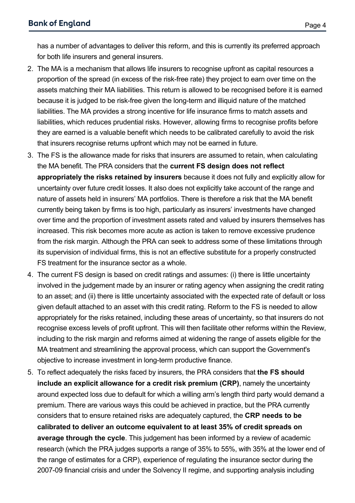for both life insurers and general insurers.

has a number of advantages to deliver this reform, and this is currently its preferred approach

- 2. The MA is a mechanism that allows life insurers to recognise upfront as capital resources a proportion of the spread (in excess of the risk-free rate) they project to earn over time on the assets matching their MA liabilities. This return is allowed to be recognised before it is earned because it is judged to be risk-free given the long-term and illiquid nature of the matched liabilities. The MA provides a strong incentive for life insurance firms to match assets and liabilities, which reduces prudential risks. However, allowing firms to recognise profits before they are earned is a valuable benefit which needs to be calibrated carefully to avoid the risk that insurers recognise returns upfront which may not be earned in future.
- 3. The FS is the allowance made for risks that insurers are assumed to retain, when calculating the MA benefit. The PRA considers that the **current FS design does not reflect appropriately the risks retained by insurers** because it does not fully and explicitly allow for uncertainty over future credit losses. It also does not explicitly take account of the range and nature of assets held in insurers' MA portfolios. There is therefore a risk that the MA benefit currently being taken by firms is too high, particularly as insurers' investments have changed over time and the proportion of investment assets rated and valued by insurers themselves has increased. This risk becomes more acute as action is taken to remove excessive prudence from the risk margin. Although the PRA can seek to address some of these limitations through its supervision of individual firms, this is not an effective substitute for a properly constructed FS treatment for the insurance sector as a whole.
- 4. The current FS design is based on credit ratings and assumes: (i) there is little uncertainty involved in the judgement made by an insurer or rating agency when assigning the credit rating to an asset; and (ii) there is little uncertainty associated with the expected rate of default or loss given default attached to an asset with this credit rating. Reform to the FS is needed to allow appropriately for the risks retained, including these areas of uncertainty, so that insurers do not recognise excess levels of profit upfront. This will then facilitate other reforms within the Review, including to the risk margin and reforms aimed at widening the range of assets eligible for the MA treatment and streamlining the approval process, which can support the Government's objective to increase investment in long-term productive finance.
- 5. To reflect adequately the risks faced by insurers, the PRA considers that **the FS should include an explicit allowance for a credit risk premium (CRP)**, namely the uncertainty around expected loss due to default for which a willing arm's length third party would demand a premium. There are various ways this could be achieved in practice, but the PRA currently considers that to ensure retained risks are adequately captured, the **CRP needs to be calibrated to deliver an outcome equivalent to at least 35% of credit spreads on average through the cycle**. This judgement has been informed by a review of academic research (which the PRA judges supports a range of 35% to 55%, with 35% at the lower end of the range of estimates for a CRP), experience of regulating the insurance sector during the 2007-09 financial crisis and under the Solvency II regime, and supporting analysis including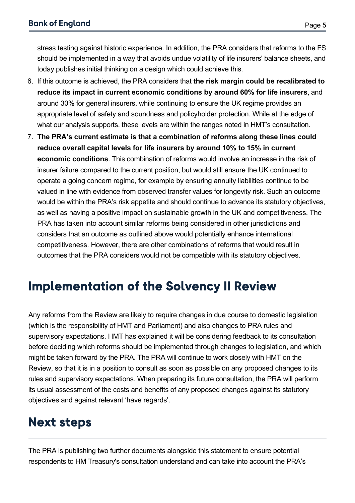stress testing against historic experience. In addition, the PRA considers that reforms to the FS should be implemented in a way that avoids undue volatility of life insurers' balance sheets, and today publishes initial thinking on a design which could achieve this.

- 6. If this outcome is achieved, the PRA considers that **the risk margin could be recalibrated to reduce its impact in current economic conditions by around 60% for life insurers**, and around 30% for general insurers, while continuing to ensure the UK regime provides an appropriate level of safety and soundness and policyholder protection. While at the edge of what our analysis supports, these levels are within the ranges noted in HMT's consultation.
- 7. **The PRA's current estimate is that a combination of reforms along these lines could reduce overall capital levels for life insurers by around 10% to 15% in current economic conditions**. This combination of reforms would involve an increase in the risk of insurer failure compared to the current position, but would still ensure the UK continued to operate a going concern regime, for example by ensuring annuity liabilities continue to be valued in line with evidence from observed transfer values for longevity risk. Such an outcome would be within the PRA's risk appetite and should continue to advance its statutory objectives, as well as having a positive impact on sustainable growth in the UK and competitiveness. The PRA has taken into account similar reforms being considered in other jurisdictions and considers that an outcome as outlined above would potentially enhance international competitiveness. However, there are other combinations of reforms that would result in outcomes that the PRA considers would not be compatible with its statutory objectives.

## Implementation of the Solvency II Review

Any reforms from the Review are likely to require changes in due course to domestic legislation (which is the responsibility of HMT and Parliament) and also changes to PRA rules and supervisory expectations. HMT has explained it will be considering feedback to its consultation before deciding which reforms should be implemented through changes to legislation, and which might be taken forward by the PRA. The PRA will continue to work closely with HMT on the Review, so that it is in a position to consult as soon as possible on any proposed changes to its rules and supervisory expectations. When preparing its future consultation, the PRA will perform its usual assessment of the costs and benefits of any proposed changes against its statutory objectives and against relevant 'have regards'.

## Next steps

The PRA is publishing two further documents alongside this statement to ensure potential respondents to HM Treasury's consultation understand and can take into account the PRA's